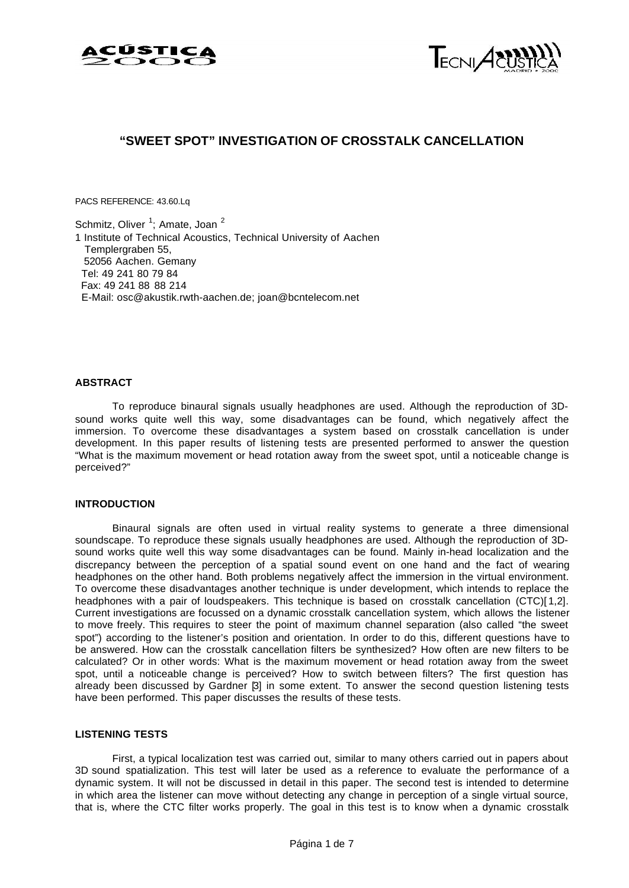



# **"SWEET SPOT" INVESTIGATION OF CROSSTALK CANCELLATION**

PACS REFERENCE: 43.60.Lq

Schmitz, Oliver<sup>1</sup>; Amate, Joan<sup>2</sup> 1 Institute of Technical Acoustics, Technical University of Aachen Templergraben 55, 52056 Aachen. Gemany Tel: 49 241 80 79 84 Fax: 49 241 88 88 214 E-Mail: osc@akustik.rwth-aachen.de; joan@bcntelecom.net

#### **ABSTRACT**

To reproduce binaural signals usually headphones are used. Although the reproduction of 3Dsound works quite well this way, some disadvantages can be found, which negatively affect the immersion. To overcome these disadvantages a system based on crosstalk cancellation is under development. In this paper results of listening tests are presented performed to answer the question "What is the maximum movement or head rotation away from the sweet spot, until a noticeable change is perceived?"

## **INTRODUCTION**

Binaural signals are often used in virtual reality systems to generate a three dimensional soundscape. To reproduce these signals usually headphones are used. Although the reproduction of 3Dsound works quite well this way some disadvantages can be found. Mainly in-head localization and the discrepancy between the perception of a spatial sound event on one hand and the fact of wearing headphones on the other hand. Both problems negatively affect the immersion in the virtual environment. To overcome these disadvantages another technique is under development, which intends to replace the headphones with a pair of loudspeakers. This technique is based on crosstalk cancellation (CTC)[ 1,2]. Current investigations are focussed on a dynamic crosstalk cancellation system, which allows the listener to move freely. This requires to steer the point of maximum channel separation (also called "the sweet spot") according to the listener's position and orientation. In order to do this, different questions have to be answered. How can the crosstalk cancellation filters be synthesized? How often are new filters to be calculated? Or in other words: What is the maximum movement or head rotation away from the sweet spot, until a noticeable change is perceived? How to switch between filters? The first question has already been discussed by Gardner [3] in some extent. To answer the second question listening tests have been performed. This paper discusses the results of these tests.

#### **LISTENING TESTS**

First, a typical localization test was carried out, similar to many others carried out in papers about 3D sound spatialization. This test will later be used as a reference to evaluate the performance of a dynamic system. It will not be discussed in detail in this paper. The second test is intended to determine in which area the listener can move without detecting any change in perception of a single virtual source, that is, where the CTC filter works properly. The goal in this test is to know when a dynamic crosstalk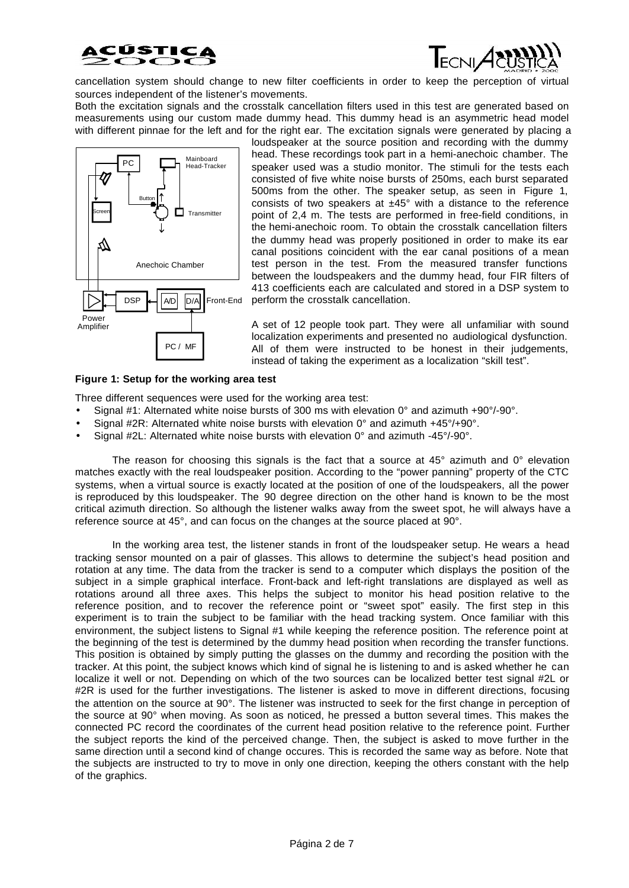



cancellation system should change to new filter coefficients in order to keep the perception of virtual sources independent of the listener's movements.

Both the excitation signals and the crosstalk cancellation filters used in this test are generated based on measurements using our custom made dummy head. This dummy head is an asymmetric head model with different pinnae for the left and for the right ear. The excitation signals were generated by placing a



loudspeaker at the source position and recording with the dummy head. These recordings took part in a hemi-anechoic chamber. The speaker used was a studio monitor. The stimuli for the tests each consisted of five white noise bursts of 250ms, each burst separated 500ms from the other. The speaker setup, as seen in Figure 1, consists of two speakers at  $±45°$  with a distance to the reference point of 2,4 m. The tests are performed in free-field conditions, in the hemi-anechoic room. To obtain the crosstalk cancellation filters the dummy head was properly positioned in order to make its ear canal positions coincident with the ear canal positions of a mean test person in the test. From the measured transfer functions between the loudspeakers and the dummy head, four FIR filters of 413 coefficients each are calculated and stored in a DSP system to perform the crosstalk cancellation.

A set of 12 people took part. They were all unfamiliar with sound localization experiments and presented no audiological dysfunction. All of them were instructed to be honest in their judgements, instead of taking the experiment as a localization "skill test".

#### **Figure 1: Setup for the working area test**

Three different sequences were used for the working area test:

- Signal #1: Alternated white noise bursts of 300 ms with elevation  $0^\circ$  and azimuth  $+90^\circ/90^\circ$ .
- Signal #2R: Alternated white noise bursts with elevation 0° and azimuth +45°/+90°.
- Signal #2L: Alternated white noise bursts with elevation 0° and azimuth -45°/-90°.

The reason for choosing this signals is the fact that a source at  $45^\circ$  azimuth and  $0^\circ$  elevation matches exactly with the real loudspeaker position. According to the "power panning" property of the CTC systems, when a virtual source is exactly located at the position of one of the loudspeakers, all the power is reproduced by this loudspeaker. The 90 degree direction on the other hand is known to be the most critical azimuth direction. So although the listener walks away from the sweet spot, he will always have a reference source at 45°, and can focus on the changes at the source placed at 90°.

In the working area test, the listener stands in front of the loudspeaker setup. He wears a head tracking sensor mounted on a pair of glasses. This allows to determine the subject's head position and rotation at any time. The data from the tracker is send to a computer which displays the position of the subject in a simple graphical interface. Front-back and left-right translations are displayed as well as rotations around all three axes. This helps the subject to monitor his head position relative to the reference position, and to recover the reference point or "sweet spot" easily. The first step in this experiment is to train the subject to be familiar with the head tracking system. Once familiar with this environment, the subject listens to Signal #1 while keeping the reference position. The reference point at the beginning of the test is determined by the dummy head position when recording the transfer functions. This position is obtained by simply putting the glasses on the dummy and recording the position with the tracker. At this point, the subject knows which kind of signal he is listening to and is asked whether he can localize it well or not. Depending on which of the two sources can be localized better test signal #2L or #2R is used for the further investigations. The listener is asked to move in different directions, focusing the attention on the source at 90°. The listener was instructed to seek for the first change in perception of the source at 90° when moving. As soon as noticed, he pressed a button several times. This makes the connected PC record the coordinates of the current head position relative to the reference point. Further the subject reports the kind of the perceived change. Then, the subject is asked to move further in the same direction until a second kind of change occures. This is recorded the same way as before. Note that the subjects are instructed to try to move in only one direction, keeping the others constant with the help of the graphics.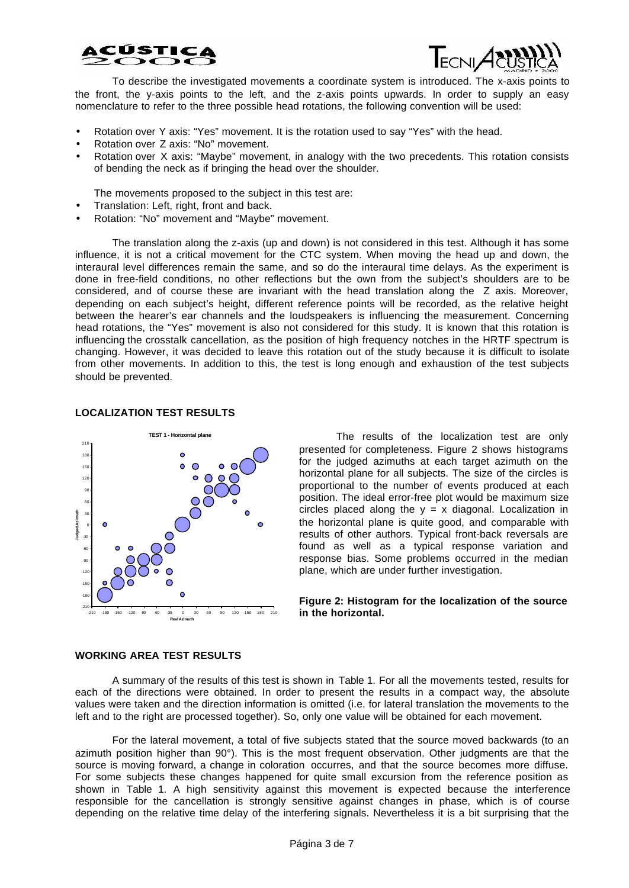



To describe the investigated movements a coordinate system is introduced. The x-axis points to the front, the y-axis points to the left, and the z-axis points upwards. In order to supply an easy nomenclature to refer to the three possible head rotations, the following convention will be used:

- Rotation over Y axis: "Yes" movement. It is the rotation used to say "Yes" with the head.
- Rotation over Z axis: "No" movement.
- Rotation over X axis: "Maybe" movement, in analogy with the two precedents. This rotation consists of bending the neck as if bringing the head over the shoulder.

The movements proposed to the subject in this test are:

- Translation: Left, right, front and back.
- Rotation: "No" movement and "Maybe" movement.

The translation along the z-axis (up and down) is not considered in this test. Although it has some influence, it is not a critical movement for the CTC system. When moving the head up and down, the interaural level differences remain the same, and so do the interaural time delays. As the experiment is done in free-field conditions, no other reflections but the own from the subject's shoulders are to be considered, and of course these are invariant with the head translation along the Z axis. Moreover, depending on each subject's height, different reference points will be recorded, as the relative height between the hearer's ear channels and the loudspeakers is influencing the measurement. Concerning head rotations, the "Yes" movement is also not considered for this study. It is known that this rotation is influencing the crosstalk cancellation, as the position of high frequency notches in the HRTF spectrum is changing. However, it was decided to leave this rotation out of the study because it is difficult to isolate from other movements. In addition to this, the test is long enough and exhaustion of the test subjects should be prevented.

## **LOCALIZATION TEST RESULTS**



The results of the localization test are only presented for completeness. Figure 2 shows histograms for the judged azimuths at each target azimuth on the horizontal plane for all subjects. The size of the circles is proportional to the number of events produced at each position. The ideal error-free plot would be maximum size circles placed along the  $y = x$  diagonal. Localization in the horizontal plane is quite good, and comparable with results of other authors. Typical front-back reversals are found as well as a typical response variation and response bias. Some problems occurred in the median plane, which are under further investigation.

#### **Figure 2: Histogram for the localization of the source in the horizontal.**

## **WORKING AREA TEST RESULTS**

A summary of the results of this test is shown in Table 1. For all the movements tested, results for each of the directions were obtained. In order to present the results in a compact way, the absolute values were taken and the direction information is omitted (i.e. for lateral translation the movements to the left and to the right are processed together). So, only one value will be obtained for each movement.

For the lateral movement, a total of five subjects stated that the source moved backwards (to an azimuth position higher than 90°). This is the most frequent observation. Other judgments are that the source is moving forward, a change in coloration occurres, and that the source becomes more diffuse. For some subjects these changes happened for quite small excursion from the reference position as shown in Table 1. A high sensitivity against this movement is expected because the interference responsible for the cancellation is strongly sensitive against changes in phase, which is of course depending on the relative time delay of the interfering signals. Nevertheless it is a bit surprising that the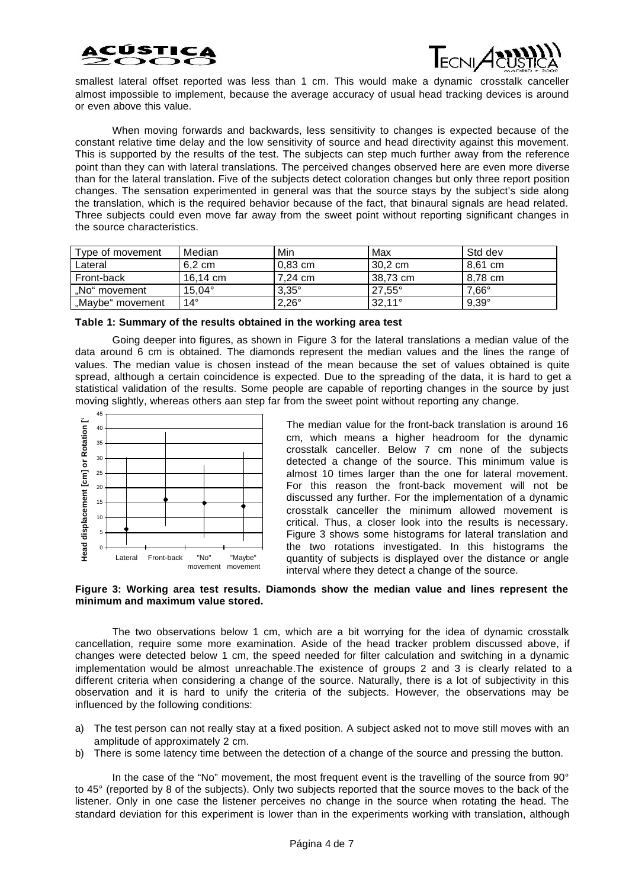



smallest lateral offset reported was less than 1 cm. This would make a dynamic crosstalk canceller almost impossible to implement, because the average accuracy of usual head tracking devices is around or even above this value.

When moving forwards and backwards, less sensitivity to changes is expected because of the constant relative time delay and the low sensitivity of source and head directivity against this movement. This is supported by the results of the test. The subjects can step much further away from the reference point than they can with lateral translations. The perceived changes observed here are even more diverse than for the lateral translation. Five of the subjects detect coloration changes but only three report position changes. The sensation experimented in general was that the source stays by the subject's side along the translation, which is the required behavior because of the fact, that binaural signals are head related. Three subjects could even move far away from the sweet point without reporting significant changes in the source characteristics.

| Type of movement | Median           | Min          | Max             | Std dev        |
|------------------|------------------|--------------|-----------------|----------------|
| Lateral          | $6.2 \text{ cm}$ | $0.83$ cm    | 30.2 cm         | 8.61 cm        |
| Front-back       | 16.14 cm         | 7.24 cm      | 38.73 cm        | 8.78 cm        |
| "No" movement    | $15.04^{\circ}$  | $3.35^\circ$ | $27.55^\circ$   | $7.66^{\circ}$ |
| "Maybe" movement | 14°              | $2,26^\circ$ | $32,11^{\circ}$ | $9,39^\circ$   |

| Table 1: Summary of the results obtained in the working area test |  |  |  |  |
|-------------------------------------------------------------------|--|--|--|--|
|-------------------------------------------------------------------|--|--|--|--|

Going deeper into figures, as shown in Figure 3 for the lateral translations a median value of the data around 6 cm is obtained. The diamonds represent the median values and the lines the range of values. The median value is chosen instead of the mean because the set of values obtained is quite spread, although a certain coincidence is expected. Due to the spreading of the data, it is hard to get a statistical validation of the results. Some people are capable of reporting changes in the source by just moving slightly, whereas others aan step far from the sweet point without reporting any change.



The median value for the front-back translation is around 16 cm, which means a higher headroom for the dynamic crosstalk canceller. Below 7 cm none of the subjects detected a change of the source. This minimum value is almost 10 times larger than the one for lateral movement. For this reason the front-back movement will not be discussed any further. For the implementation of a dynamic crosstalk canceller the minimum allowed movement is critical. Thus, a closer look into the results is necessary. Figure 3 shows some histograms for lateral translation and the two rotations investigated. In this histograms the quantity of subjects is displayed over the distance or angle interval where they detect a change of the source.

#### **Figure 3: Working area test results. Diamonds show the median value and lines represent the minimum and maximum value stored.**

The two observations below 1 cm, which are a bit worrying for the idea of dynamic crosstalk cancellation, require some more examination. Aside of the head tracker problem discussed above, if changes were detected below 1 cm, the speed needed for filter calculation and switching in a dynamic implementation would be almost unreachable.The existence of groups 2 and 3 is clearly related to a different criteria when considering a change of the source. Naturally, there is a lot of subjectivity in this observation and it is hard to unify the criteria of the subjects. However, the observations may be influenced by the following conditions:

- a) The test person can not really stay at a fixed position. A subject asked not to move still moves with an amplitude of approximately 2 cm.
- b) There is some latency time between the detection of a change of the source and pressing the button.

In the case of the "No" movement, the most frequent event is the travelling of the source from 90° to 45° (reported by 8 of the subjects). Only two subjects reported that the source moves to the back of the listener. Only in one case the listener perceives no change in the source when rotating the head. The standard deviation for this experiment is lower than in the experiments working with translation, although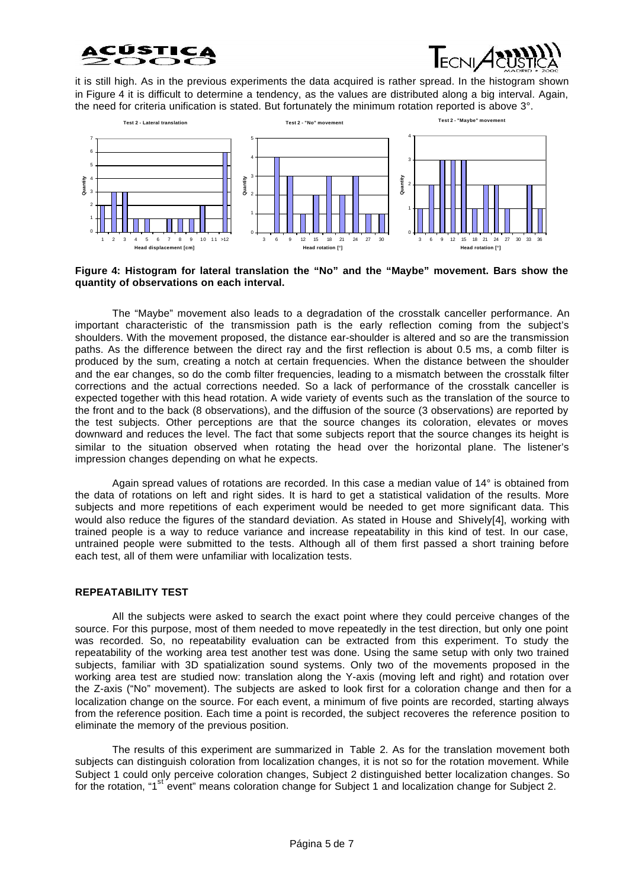



it is still high. As in the previous experiments the data acquired is rather spread. In the histogram shown in Figure 4 it is difficult to determine a tendency, as the values are distributed along a big interval. Again, the need for criteria unification is stated. But fortunately the minimum rotation reported is above 3°.



**Figure 4: Histogram for lateral translation the "No" and the "Maybe" movement. Bars show the quantity of observations on each interval.**

The "Maybe" movement also leads to a degradation of the crosstalk canceller performance. An important characteristic of the transmission path is the early reflection coming from the subject's shoulders. With the movement proposed, the distance ear-shoulder is altered and so are the transmission paths. As the difference between the direct ray and the first reflection is about 0.5 ms, a comb filter is produced by the sum, creating a notch at certain frequencies. When the distance between the shoulder and the ear changes, so do the comb filter frequencies, leading to a mismatch between the crosstalk filter corrections and the actual corrections needed. So a lack of performance of the crosstalk canceller is expected together with this head rotation. A wide variety of events such as the translation of the source to the front and to the back (8 observations), and the diffusion of the source (3 observations) are reported by the test subjects. Other perceptions are that the source changes its coloration, elevates or moves downward and reduces the level. The fact that some subjects report that the source changes its height is similar to the situation observed when rotating the head over the horizontal plane. The listener's impression changes depending on what he expects.

Again spread values of rotations are recorded. In this case a median value of 14° is obtained from the data of rotations on left and right sides. It is hard to get a statistical validation of the results. More subjects and more repetitions of each experiment would be needed to get more significant data. This would also reduce the figures of the standard deviation. As stated in House and Shively[4], working with trained people is a way to reduce variance and increase repeatability in this kind of test. In our case, untrained people were submitted to the tests. Although all of them first passed a short training before each test, all of them were unfamiliar with localization tests.

## **REPEATABILITY TEST**

All the subjects were asked to search the exact point where they could perceive changes of the source. For this purpose, most of them needed to move repeatedly in the test direction, but only one point was recorded. So, no repeatability evaluation can be extracted from this experiment. To study the repeatability of the working area test another test was done. Using the same setup with only two trained subjects, familiar with 3D spatialization sound systems. Only two of the movements proposed in the working area test are studied now: translation along the Y-axis (moving left and right) and rotation over the Z-axis ("No" movement). The subjects are asked to look first for a coloration change and then for a localization change on the source. For each event, a minimum of five points are recorded, starting always from the reference position. Each time a point is recorded, the subject recoveres the reference position to eliminate the memory of the previous position.

The results of this experiment are summarized in Table 2. As for the translation movement both subjects can distinguish coloration from localization changes, it is not so for the rotation movement. While Subject 1 could only perceive coloration changes, Subject 2 distinguished better localization changes. So for the rotation, "1<sup>st event" means coloration change for Subject 1 and localization change for Subject 2.</sup>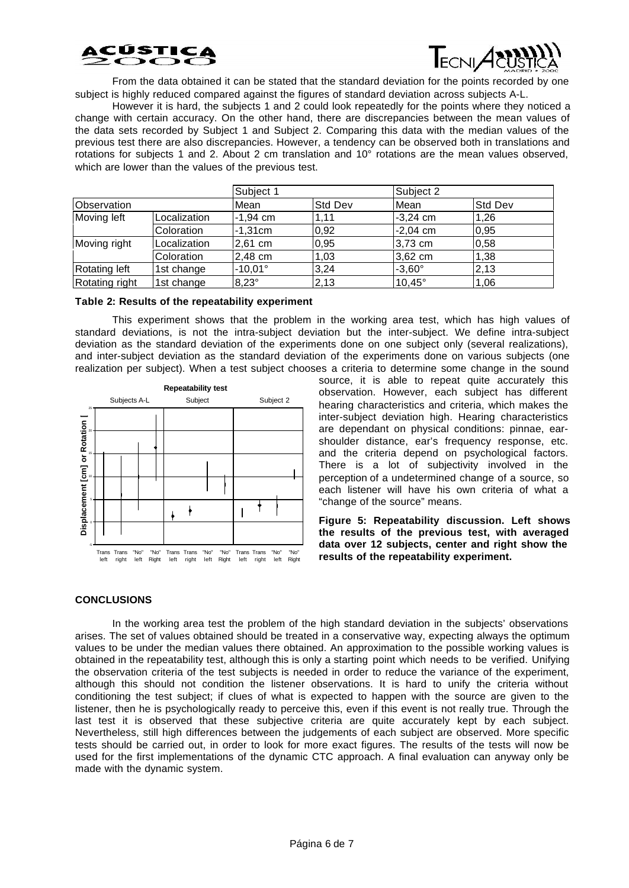



From the data obtained it can be stated that the standard deviation for the points recorded by one subject is highly reduced compared against the figures of standard deviation across subjects A-L.

However it is hard, the subjects 1 and 2 could look repeatedly for the points where they noticed a change with certain accuracy. On the other hand, there are discrepancies between the mean values of the data sets recorded by Subject 1 and Subject 2. Comparing this data with the median values of the previous test there are also discrepancies. However, a tendency can be observed both in translations and rotations for subjects 1 and 2. About 2 cm translation and 10° rotations are the mean values observed, which are lower than the values of the previous test.

|                    |              | Subject 1      |                | Subject 2       |                |
|--------------------|--------------|----------------|----------------|-----------------|----------------|
| <b>Observation</b> |              | Mean           | <b>Std Dev</b> | Mean            | <b>Std Dev</b> |
| Moving left        | Localization | $-1,94$ cm     | 1,11           | $-3,24$ cm      | 1.26           |
|                    | Coloration   | $-1,31cm$      | 0,92           | $-2,04$ cm      | 0,95           |
| Moving right       | Localization | 2,61 cm        | 0,95           | 3,73 cm         | 0,58           |
|                    | Coloration   | 2,48 cm        | 1,03           | 3,62 cm         | 1,38           |
| Rotating left      | 1st change   | $-10.01^\circ$ | 3,24           | $-3,60^{\circ}$ | 2,13           |
| Rotating right     | 1st change   | $8,23^\circ$   | 2,13           | $10.45^\circ$   | 1,06           |

#### **Table 2: Results of the repeatability experiment**

This experiment shows that the problem in the working area test, which has high values of standard deviations, is not the intra-subject deviation but the inter-subject. We define intra-subject deviation as the standard deviation of the experiments done on one subject only (several realizations), and inter-subject deviation as the standard deviation of the experiments done on various subjects (one realization per subject). When a test subject chooses a criteria to determine some change in the sound



source, it is able to repeat quite accurately this observation. However, each subject has different hearing characteristics and criteria, which makes the inter-subject deviation high. Hearing characteristics are dependant on physical conditions: pinnae, earshoulder distance, ear's frequency response, etc. and the criteria depend on psychological factors. There is a lot of subjectivity involved in the perception of a undetermined change of a source, so each listener will have his own criteria of what a "change of the source" means.

**Figure 5: Repeatability discussion. Left shows the results of the previous test, with averaged data over 12 subjects, center and right show the results of the repeatability experiment.**

## **CONCLUSIONS**

In the working area test the problem of the high standard deviation in the subjects' observations arises. The set of values obtained should be treated in a conservative way, expecting always the optimum values to be under the median values there obtained. An approximation to the possible working values is obtained in the repeatability test, although this is only a starting point which needs to be verified. Unifying the observation criteria of the test subjects is needed in order to reduce the variance of the experiment, although this should not condition the listener observations. It is hard to unify the criteria without conditioning the test subject; if clues of what is expected to happen with the source are given to the listener, then he is psychologically ready to perceive this, even if this event is not really true. Through the last test it is observed that these subjective criteria are quite accurately kept by each subject. Nevertheless, still high differences between the judgements of each subject are observed. More specific tests should be carried out, in order to look for more exact figures. The results of the tests will now be used for the first implementations of the dynamic CTC approach. A final evaluation can anyway only be made with the dynamic system.